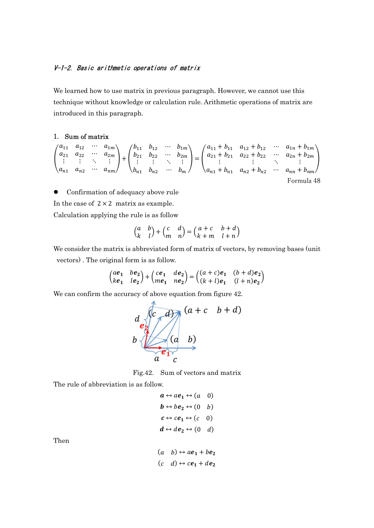### V-1-2. Basic arithmetic operations of matrix

We learned how to use matrix in previous paragraph. However, we cannot use this technique without knowledge or calculation rule. Arithmetic operations of matrix are introduced in this paragraph.

#### 1. Sum of matrix

$$
\begin{pmatrix} a_{11} & a_{12} & \cdots & a_{1m} \\ a_{21} & a_{22} & \cdots & a_{2m} \\ \vdots & \vdots & \ddots & \vdots \\ a_{n1} & a_{n2} & \cdots & a_{nm} \end{pmatrix} + \begin{pmatrix} b_{11} & b_{12} & \cdots & b_{1m} \\ b_{21} & b_{22} & \cdots & b_{2m} \\ \vdots & \vdots & \ddots & \vdots \\ b_{n1} & b_{n2} & \cdots & b_{m} \end{pmatrix} = \begin{pmatrix} a_{11} + b_{11} & a_{12} + b_{12} & \cdots & a_{1n} + b_{1m} \\ a_{21} + b_{21} & a_{22} + b_{22} & \cdots & a_{2n} + b_{2m} \\ \vdots & \vdots & \ddots & \vdots \\ a_{n1} + b_{n1} & a_{n2} + b_{n2} & \cdots & a_{nn} + b_{nm} \end{pmatrix}
$$
  
Formula 48

Confirmation of adequacy above rule

In the case of  $2 \times 2$  matrix as example.

Calculation applying the rule is as follow

$$
\begin{pmatrix} a & b \\ k & l \end{pmatrix} + \begin{pmatrix} c & d \\ m & n \end{pmatrix} = \begin{pmatrix} a+c & b+d \\ k+m & l+n \end{pmatrix}
$$

We consider the matrix is abbreviated form of matrix of vectors, by removing bases (unit vectors) . The original form is as follow.

$$
\begin{pmatrix} ae_1 & be_2 \\ ke_1 & le_2 \end{pmatrix} + \begin{pmatrix} ce_1 & de_2 \\ me_1 & ne_2 \end{pmatrix} = \begin{pmatrix} (a+c)e_1 & (b+d)e_2 \\ (k+l)e_1 & (l+n)e_2 \end{pmatrix}
$$

We can confirm the accuracy of above equation from figure 42.



Fig.42. Sum of vectors and matrix

The rule of abbreviation is as follow.

$$
a \leftrightarrow ae_1 \leftrightarrow (a \quad 0)
$$
  
\n
$$
b \leftrightarrow be_2 \leftrightarrow (0 \quad b)
$$
  
\n
$$
c \leftrightarrow ce_1 \leftrightarrow (c \quad 0)
$$
  
\n
$$
d \leftrightarrow de_2 \leftrightarrow (0 \quad d)
$$

Then

$$
(a \quad b) \leftrightarrow a\mathbf{e}_1 + b\mathbf{e}_2
$$

$$
(c \quad d) \leftrightarrow c\mathbf{e}_1 + d\mathbf{e}_2
$$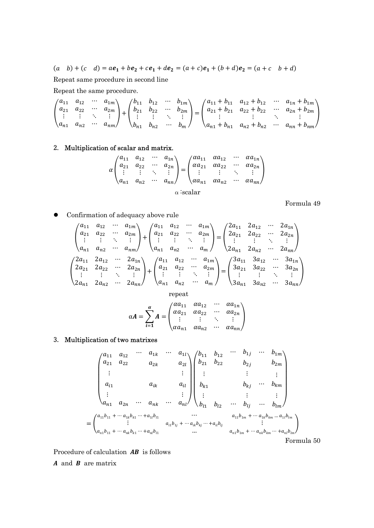$(a \quad b) + (c \quad d) = ae_1 + be_2 + ce_1 + de_2 = (a+c)e_1 + (b+d)e_2 = (a+c \quad b+d)$ 

Repeat same procedure in second line

Repeat the same procedure.

$$
\begin{pmatrix} a_{11} & a_{12} & \cdots & a_{1m} \\ a_{21} & a_{22} & \cdots & a_{2m} \\ \vdots & \vdots & \ddots & \vdots \\ a_{n1} & a_{n2} & \cdots & a_{nm} \end{pmatrix} + \begin{pmatrix} b_{11} & b_{12} & \cdots & b_{1m} \\ b_{21} & b_{22} & \cdots & b_{2m} \\ \vdots & \vdots & \ddots & \vdots \\ b_{n1} & b_{n2} & \cdots & b_{m} \end{pmatrix} = \begin{pmatrix} a_{11} + b_{11} & a_{12} + b_{12} & \cdots & a_{1n} + b_{1m} \\ a_{21} + b_{21} & a_{22} + b_{22} & \cdots & a_{2n} + b_{2m} \\ \vdots & \vdots & \ddots & \vdots \\ a_{n1} + b_{n1} & a_{n2} + b_{n2} & \cdots & a_{nn} + b_{nm} \end{pmatrix}
$$

### 2. Multiplication of scalar and matrix.

$$
\alpha \begin{pmatrix} a_{11} & a_{12} & \cdots & a_{1n} \\ a_{21} & a_{22} & \cdots & a_{2n} \\ \vdots & \vdots & \ddots & \vdots \\ a_{n1} & a_{n2} & \cdots & a_{nn} \end{pmatrix} = \begin{pmatrix} \alpha a_{11} & \alpha a_{12} & \cdots & \alpha a_{1n} \\ \alpha a_{21} & \alpha a_{22} & \cdots & \alpha a_{2n} \\ \vdots & \vdots & \ddots & \vdots \\ \alpha a_{n1} & \alpha a_{n2} & \cdots & \alpha a_{nn} \end{pmatrix}
$$

 $\alpha$ :scalar

Formula 49

Confirmation of adequacy above rule

$$
\begin{pmatrix}\na_{11} & a_{12} & \cdots & a_{1m} \\
a_{21} & a_{22} & \cdots & a_{2m} \\
\vdots & \vdots & \ddots & \vdots \\
a_{n1} & a_{n2} & \cdots & a_{nn}\n\end{pmatrix} + \begin{pmatrix}\na_{11} & a_{12} & \cdots & a_{1m} \\
a_{21} & a_{22} & \cdots & a_{2m} \\
\vdots & \vdots & \ddots & \vdots \\
a_{n1} & a_{n2} & \cdots & a_{nn}\n\end{pmatrix} = \begin{pmatrix}\n2a_{11} & 2a_{12} & \cdots & 2a_{1n} \\
2a_{21} & 2a_{22} & \cdots & 2a_{2n} \\
\vdots & \vdots & \ddots & \vdots \\
2a_{n1} & 2a_{n2} & \cdots & 2a_{nn}\n\end{pmatrix}
$$
\n
$$
\begin{pmatrix}\n2a_{11} & 2a_{12} & \cdots & 2a_{1n} \\
a_{21} & 2a_{22} & \cdots & 2a_{2n} \\
\vdots & \vdots & \ddots & \vdots \\
a_{n1} & a_{n2} & \cdots & a_{nn}\n\end{pmatrix} + \begin{pmatrix}\na_{11} & a_{12} & \cdots & a_{1m} \\
a_{21} & a_{22} & \cdots & a_{2m} \\
\vdots & \vdots & \ddots & \vdots \\
a_{n1} & a_{n2} & \cdots & a_{nn}\n\end{pmatrix} = \begin{pmatrix}\n3a_{11} & 3a_{12} & \cdots & 3a_{1n} \\
3a_{21} & 3a_{22} & \cdots & 3a_{2n} \\
\vdots & \vdots & \ddots & \vdots \\
3a_{n1} & 3a_{n2} & \cdots & 3a_{nn}\n\end{pmatrix}
$$

repeat

$$
\alpha A = \sum_{i=1}^{\alpha} A = \begin{pmatrix} \alpha a_{11} & \alpha a_{12} & \cdots & \alpha a_{1n} \\ \alpha a_{21} & \alpha a_{22} & \cdots & \alpha a_{2n} \\ \vdots & \vdots & \ddots & \vdots \\ \alpha a_{n1} & \alpha a_{n2} & \cdots & \alpha a_{nn} \end{pmatrix}
$$

## 3. Multiplication of two matrixes

$$
\begin{pmatrix}\na_{11} & a_{12} & \cdots & a_{1k} & \cdots & a_{1l} \\
a_{21} & a_{22} & a_{2k} & a_{2l} \\
\vdots & & & \vdots \\
a_{i1} & a_{i1} & a_{i1} & \cdots & a_{ni} \\
\vdots & & & \vdots \\
a_{n1} & a_{2n} & \cdots & a_{nk} & \cdots & a_{nl}\n\end{pmatrix}\n\begin{pmatrix}\nb_{11} & b_{12} & \cdots & b_{1j} & \cdots & b_{1m} \\
b_{21} & b_{22} & b_{2j} & b_{2m} \\
\vdots & & & \vdots \\
b_{k1} & b_{k2} & \cdots & b_{km} \\
\vdots & & & \vdots \\
b_{l1} & b_{l2} & \cdots & b_{lj} & \cdots & b_{lm}\n\end{pmatrix}
$$
\n
$$
=\begin{pmatrix}\na_{11}b_{11} + \cdots a_{1k}b_{k1} + \cdots + a_{1l}b_{l1} & \cdots & a_{1k}b_{kj} + \cdots + a_{1k}b_{kj} + \cdots + a_{1l}b_{lj} \\
\vdots & & & \vdots \\
a_{n1}b_{11} + \cdots + a_{nk}b_{k1} + \cdots + a_{nl}b_{l1} & \cdots & a_{n1}b_{1m} + \cdots + a_{nk}b_{km} + \cdots + a_{nl}b_{lm}\n\end{pmatrix}
$$
\nFormula 50

Procedure of calculation  $\overrightarrow{AB}$  is follows

 $\boldsymbol{A}$  and  $\boldsymbol{B}$  are matrix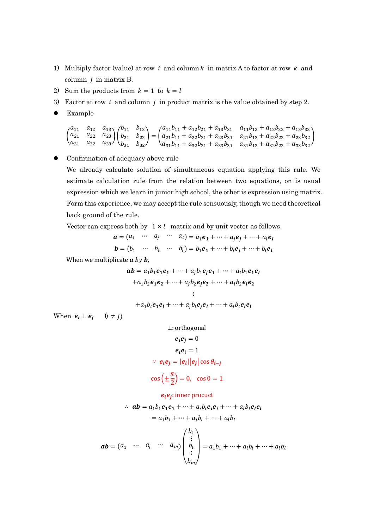- 1) Multiply factor (value) at row  $i$  and column  $k$  in matrix A to factor at row  $k$  and column  $j$  in matrix  $B$ .
- 2) Sum the products from  $k = 1$  to  $k = l$
- 3) Factor at row *i* and column *j* in product matrix is the value obtained by step 2.
- Example

$$
\begin{pmatrix} a_{11} & a_{12} & a_{13} \\ a_{21} & a_{22} & a_{23} \\ a_{31} & a_{32} & a_{33} \end{pmatrix} \begin{pmatrix} b_{11} & b_{12} \\ b_{21} & b_{22} \\ b_{31} & b_{32} \end{pmatrix} = \begin{pmatrix} a_{11}b_{11} + a_{12}b_{21} + a_{13}b_{31} & a_{11}b_{12} + a_{12}b_{22} + a_{13}b_{32} \\ a_{21}b_{11} + a_{22}b_{21} + a_{23}b_{31} & a_{21}b_{12} + a_{22}b_{22} + a_{23}b_{32} \\ a_{31}b_{11} + a_{32}b_{21} + a_{33}b_{31} & a_{31}b_{12} + a_{32}b_{22} + a_{33}b_{32} \end{pmatrix}
$$

Confirmation of adequacy above rule

We already calculate solution of simultaneous equation applying this rule. We estimate calculation rule from the relation between two equations, on is usual expression which we learn in junior high school, the other is expression using matrix. Form this experience, we may accept the rule sensuously, though we need theoretical back ground of the rule.

Vector can express both by  $1 \times l$  matrix and by unit vector as follows.

 $a = (a_1 \cdots a_j \cdots a_l) = a_1 e_1 + \cdots + a_j e_j + \cdots + a_l e_l$  $$ 

When we multiplicate  $a$  by  $b$ ,

$$
ab = a_1b_1e_1e_1 + \dots + a_jb_1e_je_1 + \dots + a_lb_1e_1e_l
$$
  
+
$$
a_1b_2e_1e_2 + \dots + a_jb_2e_je_2 + \dots + a_lb_2e_le_2
$$
  
...  
+
$$
a_1b_le_1e_l + \dots + a_jb_le_je_l + \dots + a_lb_le_le_l
$$

When  $e_i \perp e_j$   $(i \neq j)$ 

$$
\perp: \text{orthogonal}
$$
\n
$$
e_i e_j = 0
$$
\n
$$
e_i e_i = 1
$$
\n
$$
\therefore e_i e_j = |e_i||e_j|\cos\theta_{i-j}
$$
\n
$$
\cos\left(\pm\frac{\pi}{2}\right) = 0, \quad \cos 0 = 1
$$

 $e_i e_j$ : inner procuct

$$
\therefore ab = a_1b_1e_1e_1 + \dots + a_ib_ie_ie_i + \dots + a_ib_ie_ie_l
$$
  
\n
$$
= a_1b_1 + \dots + a_ib_i + \dots + a_ib_l
$$
  
\n
$$
ab = (a_1 \cdots a_j \cdots a_m) \begin{pmatrix} b_1 \\ \vdots \\ b_i \\ \vdots \\ b_m \end{pmatrix} = a_1b_1 + \dots + a_ib_i + \dots + a_ib_l
$$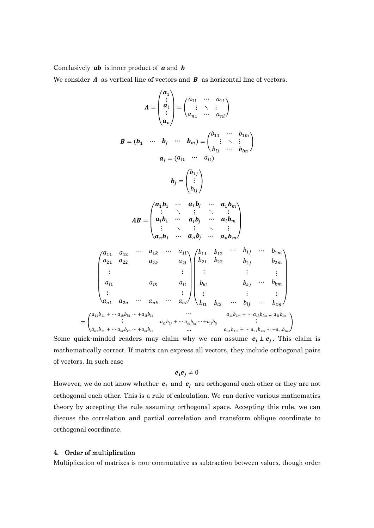Conclusively  $ab$  is inner product of  $a$  and  $b$ 

We consider  $A$  as vertical line of vectors and  $B$  as horizontal line of vectors.

$$
A = \begin{pmatrix} a_1 \\ \vdots \\ a_i \\ a_n \end{pmatrix} = \begin{pmatrix} a_{11} & \cdots & a_{1l} \\ \vdots & \ddots & \vdots \\ a_{n1} & \cdots & a_{nl} \end{pmatrix}
$$
  
\n
$$
B = (b_1 & \cdots & b_j & \cdots & b_m) = \begin{pmatrix} b_{11} & \cdots & b_{1m} \\ \vdots & \ddots & \vdots \\ b_{l1} & \cdots & b_{lm} \end{pmatrix}
$$
  
\n
$$
a_i = (a_{i1} & \cdots & a_{il})
$$
  
\n
$$
b_j = \begin{pmatrix} b_{1j} \\ \vdots \\ b_{lj} \end{pmatrix}
$$
  
\n
$$
AB = \begin{pmatrix} a_1b_1 & \cdots & a_1b_j & \cdots & a_1b_m \\ \vdots & \ddots & \vdots & \ddots & \vdots \\ a_ib_1 & \cdots & a_ib_j & \cdots & a_ib_m \\ \vdots & \ddots & \vdots & \ddots & \vdots \\ a_nb_1 & \cdots & a_nb_j & \cdots & a_nb_m \end{pmatrix}
$$
  
\n
$$
\begin{pmatrix} a_{11} & a_{12} & \cdots & a_{1k} & \cdots & a_{1l} \\ a_{21} & a_{22} & a_{2k} & a_{2l} \\ \vdots & \vdots & \vdots & \vdots \\ a_{l1} & a_{lk} & a_{il} \\ \vdots & \vdots & \vdots & \vdots \\ a_{n1} & a_{2n} & \cdots & a_{nk} & \cdots & a_{nl} \end{pmatrix} \begin{pmatrix} b_{11} & b_{12} & \cdots & b_{1j} & \cdots & b_{1m} \\ b_{21} & b_{22} & b_{2j} & b_{2m} \\ b_{21} & b_{22} & b_{2j} & b_{2m} \\ \vdots & \vdots & \vdots & \vdots \\ b_{k1} & b_{k2} & \cdots & b_{lj} & \cdots & b_{lm} \end{pmatrix}
$$
  
\n
$$
= \begin{pmatrix} a_{11}b_{11} + \cdots & a_{1k}b_{k1} + a_{1l}b_{l1} & \cdots & a_{1l}b_{k1} + \cdots & a_{1k}b_{k1} + a_{1l}b_{l1
$$

Some quick-minded readers may claim why we can assume  $e_i \perp e_j$ . This claim is mathematically correct. If matrix can express all vectors, they include orthogonal pairs of vectors. In such case

$$
e_i e_j \neq 0
$$

However, we do not know whether  $e_i$  and  $e_j$  are orthogonal each other or they are not orthogonal each other. This is a rule of calculation. We can derive various mathematics theory by accepting the rule assuming orthogonal space. Accepting this rule, we can discuss the correlation and partial correlation and transform oblique coordinate to orthogonal coordinate.

#### 4. Order of multiplication

Multiplication of matrixes is non-commutative as subtraction between values, though order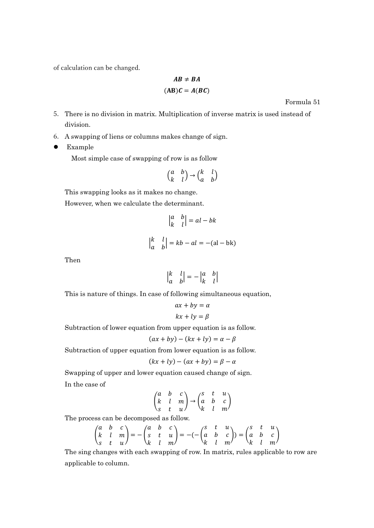of calculation can be changed.

$$
AB \neq BA
$$
  
(AB) $C = A(BC)$ 

Formula 51

- 5. There is no division in matrix. Multiplication of inverse matrix is used instead of division.
- 6. A swapping of liens or columns makes change of sign.
- Example

Most simple case of swapping of row is as follow

$$
\begin{pmatrix} a & b \\ k & l \end{pmatrix} \rightarrow \begin{pmatrix} k & l \\ a & b \end{pmatrix}
$$

This swapping looks as it makes no change.

However, when we calculate the determinant.

$$
\begin{vmatrix} a & b \\ k & l \end{vmatrix} = al - bk
$$

$$
\begin{vmatrix} k & l \\ a & b \end{vmatrix} = kb - al = -(al - bk)
$$

Then

$$
\begin{vmatrix} k & l \\ a & b \end{vmatrix} = - \begin{vmatrix} a & b \\ k & l \end{vmatrix}
$$

This is nature of things. In case of following simultaneous equation,

$$
ax + by = \alpha
$$

$$
kx + ly = \beta
$$

Subtraction of lower equation from upper equation is as follow.

$$
(ax + by) - (kx + ly) = \alpha - \beta
$$

Subtraction of upper equation from lower equation is as follow.

$$
(kx + ly) - (ax + by) = \beta - \alpha
$$

Swapping of upper and lower equation caused change of sign. In the case of

$$
\begin{pmatrix} a & b & c \\ k & l & m \\ s & t & u \end{pmatrix} \rightarrow \begin{pmatrix} s & t & u \\ a & b & c \\ k & l & m \end{pmatrix}
$$

The process can be decomposed as follow.

$$
\begin{pmatrix} a & b & c \\ k & l & m \\ s & t & u \end{pmatrix} = -\begin{pmatrix} a & b & c \\ s & t & u \\ k & l & m \end{pmatrix} = -(-\begin{pmatrix} s & t & u \\ a & b & c \\ k & l & m \end{pmatrix}) = \begin{pmatrix} s & t & u \\ a & b & c \\ k & l & m \end{pmatrix}
$$

The sing changes with each swapping of row. In matrix, rules applicable to row are applicable to column.